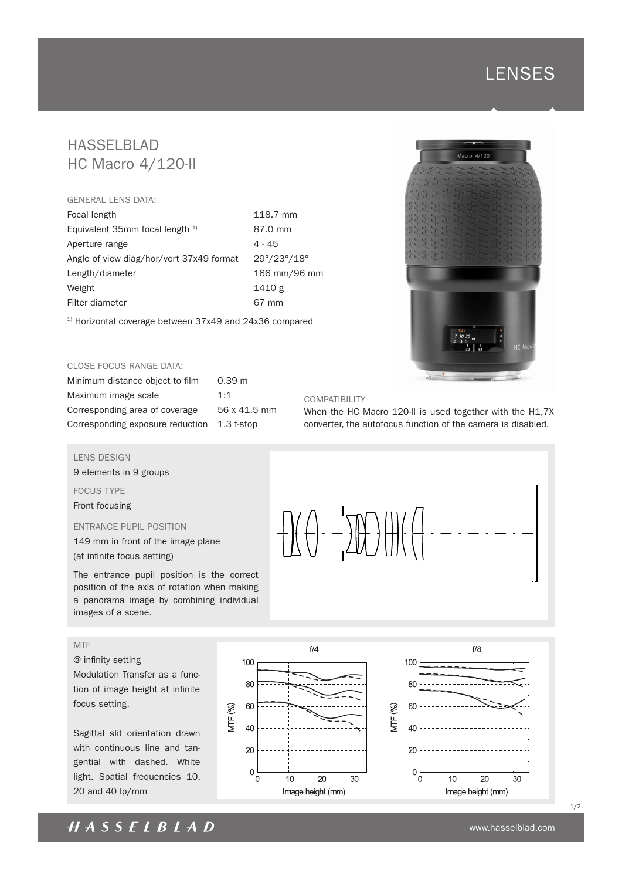# **LENSES**

# HASSELBLAD HC Macro 4/120-II

#### GENERAL LENS DATA:

Focal length 118.7 mm Equivalent 35mm focal length  $1$ <sup>1</sup> 87.0 mm Aperture range 4 - 45 Angle of view diag/hor/vert 37x49 format 29°/23°/18° Length/diameter 166 mm/96 mm Weight 1410 g Filter diameter 67 mm

<sup>1)</sup> Horizontal coverage between 37x49 and 24x36 compared

#### CLOSE FOCUS RANGE DATA:

| Minimum distance object to film  | 0.39 <sub>m</sub> |
|----------------------------------|-------------------|
| Maximum image scale              | 1:1               |
| Corresponding area of coverage   | 56 x 41.5 mm      |
| Corresponding exposure reduction | $1.3$ f-stop      |

#### LENS DESIGN

9 elements in 9 groups

FOCUS TYPE Front focusing

ENTRANCE PUPIL POSITION

149 mm in front of the image plane (at infinite focus setting)

The entrance pupil position is the correct position of the axis of rotation when making a panorama image by combining individual images of a scene.

### MTF

@ infinity setting Modulation Transfer as a func-

tion of image height at infinite focus setting.

Sagittal slit orientation drawn with continuous line and tangential with dashed. White light. Spatial frequencies 10, 20 and 40 lp/mm





### COMPATIBILITY

When the HC Macro 120-II is used together with the H1,7X converter, the autofocus function of the camera is disabled.





1/2